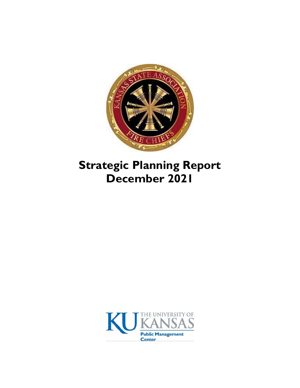

# **Strategic Planning Report December 2021**

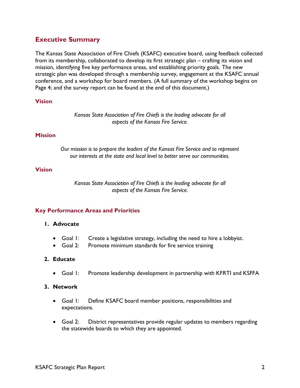# **Executive Summary**

The Kansas State Association of Fire Chiefs (KSAFC) executive board, using feedback collected from its membership, collaborated to develop its first strategic plan – crafting its vision and mission, identifying five key performance areas, and establishing priority goals. The new strategic plan was developed through a membership survey, engagement at the KSAFC annual conference, and a workshop for board members. (A full summary of the workshop begins on Page 4; and the survey report can be found at the end of this document.)

## **Vision**

*Kansas State Association of Fire Chiefs is the leading advocate for all aspects of the Kansas Fire Service.*

## **Mission**

*Our mission is to prepare the leaders of the Kansas Fire Service and to represent our interests at the state and local level to better serve our communities.*

#### **Vision**

*Kansas State Association of Fire Chiefs is the leading advocate for all aspects of the Kansas Fire Service.*

## **Key Performance Areas and Priorities**

## **1. Advocate**

- Goal 1: Create a legislative strategy, including the need to hire a lobbyist.
- Goal 2: Promote minimum standards for fire service training

## **2. Educate**

• Goal 1: Promote leadership development in partnership with KFRTI and KSFFA

#### **3. Network**

- Goal 1: Define KSAFC board member positions, responsibilities and expectations.
- Goal 2: District representatives provide regular updates to members regarding the statewide boards to which they are appointed.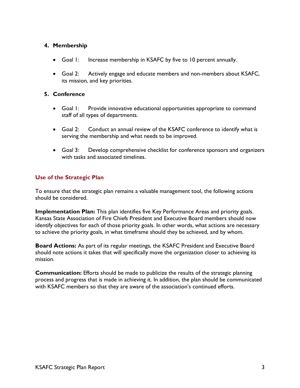# **4. Membership**

- Goal I: Increase membership in KSAFC by five to 10 percent annually.
- Goal 2: Actively engage and educate members and non-members about KSAFC, its mission, and key priorities.

# **5. Conference**

- Goal 1: Provide innovative educational opportunities appropriate to command staff of all types of departments.
- Goal 2: Conduct an annual review of the KSAFC conference to identify what is serving the membership and what needs to be improved.
- Goal 3: Develop comprehensive checklist for conference sponsors and organizers with tasks and associated timelines.

# **Use of the Strategic Plan**

To ensure that the strategic plan remains a valuable management tool, the following actions should be considered.

**Implementation Plan:** This plan identifies five Key Performance Areas and priority goals. Kansas State Association of Fire Chiefs President and Executive Board members should now identify objectives for each of those priority goals. In other words, what actions are necessary to achieve the priority goals, in what timeframe should they be achieved, and by whom.

**Board Actions:** As part of its regular meetings, the KSAFC President and Executive Board should note actions it takes that will specifically move the organization closer to achieving its mission.

**Communication:** Efforts should be made to publicize the results of the strategic planning process and progress that is made in achieving it. In addition, the plan should be communicated with KSAFC members so that they are aware of the association's continued efforts.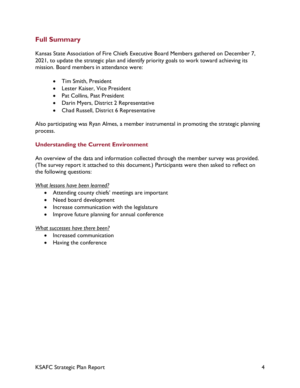# **Full Summary**

Kansas State Association of Fire Chiefs Executive Board Members gathered on December 7, 2021, to update the strategic plan and identify priority goals to work toward achieving its mission. Board members in attendance were:

- Tim Smith, President
- Lester Kaiser, Vice President
- Pat Collins, Past President
- Darin Myers, District 2 Representative
- Chad Russell, District 6 Representative

Also participating was Ryan Almes, a member instrumental in promoting the strategic planning process.

# **Understanding the Current Environment**

An overview of the data and information collected through the member survey was provided. (The survey report it attached to this document.) Participants were then asked to reflect on the following questions:

*What lessons have been learned?*

- Attending county chiefs' meetings are important
- Need board development
- Increase communication with the legislature
- Improve future planning for annual conference

#### *What successes have there been?*

- Increased communication
- Having the conference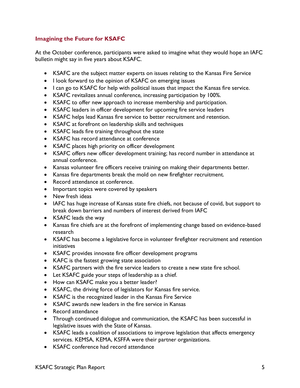# **Imagining the Future for KSAFC**

At the October conference, participants were asked to imagine what they would hope an IAFC bulletin might say in five years about KSAFC.

- KSAFC are the subject matter experts on issues relating to the Kansas Fire Service
- I look forward to the opinion of KSAFC on emerging issues
- I can go to KSAFC for help with political issues that impact the Kansas fire service.
- KSAFC revitalizes annual conference, increasing participation by 100%.
- KSAFC to offer new approach to increase membership and participation.
- KSAFC leaders in officer development for upcoming fire service leaders
- KSAFC helps lead Kansas fire service to better recruitment and retention.
- KSAFC at forefront on leadership skills and techniques
- KSAFC leads fire training throughout the state
- KSAFC has record attendance at conference
- KSAFC places high priority on officer development
- KSAFC offers new officer development training; has record number in attendance at annual conference.
- Kansas volunteer fire officers receive training on making their departments better.
- Kansas fire departments break the mold on new firefighter recruitment.
- Record attendance at conference.
- Important topics were covered by speakers
- New fresh ideas
- IAFC has huge increase of Kansas state fire chiefs, not because of covid, but support to break down barriers and numbers of interest derived from IAFC
- KSAFC leads the way
- Kansas fire chiefs are at the forefront of implementing change based on evidence-based research
- KSAFC has become a legislative force in volunteer firefighter recruitment and retention initiatives
- KSAFC provides innovate fire officer development programs
- KAFC is the fastest growing state association
- KSAFC partners with the fire service leaders to create a new state fire school.
- Let KSAFC guide your steps of leadership as a chief.
- How can KSAFC make you a better leader?
- KSAFC, the driving force of legislators for Kansas fire service.
- KSAFC is the recognized leader in the Kansas Fire Service
- KSAFC awards new leaders in the fire service in Kansas
- Record attendance
- Through continued dialogue and communication, the KSAFC has been successful in legislative issues with the State of Kansas.
- KSAFC leads a coalition of associations to improve legislation that affects emergency services. KEMSA, KEMA, KSFFA were their partner organizations.
- KSAFC conference had record attendance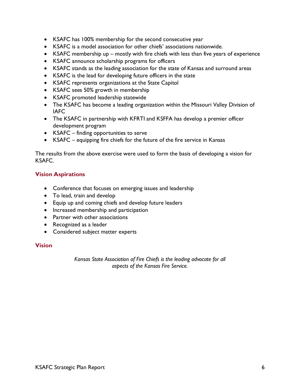- KSAFC has 100% membership for the second consecutive year
- KSAFC is a model association for other chiefs' associations nationwide.
- KSAFC membership up mostly with fire chiefs with less than five years of experience
- KSAFC announce scholarship programs for officers
- KSAFC stands as the leading association for the state of Kansas and surround areas
- KSAFC is the lead for developing future officers in the state
- KSAFC represents organizations at the State Capitol
- KSAFC sees 50% growth in membership
- KSAFC promoted leadership statewide
- The KSAFC has become a leading organization within the Missouri Valley Division of IAFC
- The KSAFC in partnership with KFRTI and KSFFA has develop a premier officer development program
- KSAFC finding opportunities to serve
- KSAFC equipping fire chiefs for the future of the fire service in Kansas

The results from the above exercise were used to form the basis of developing a vision for KSAFC.

# **Vision Aspirations**

- Conference that focuses on emerging issues and leadership
- To lead, train and develop
- Equip up and coming chiefs and develop future leaders
- Increased membership and participation
- Partner with other associations
- Recognized as a leader
- Considered subject matter experts

# **Vision**

*Kansas State Association of Fire Chiefs is the leading advocate for all aspects of the Kansas Fire Service.*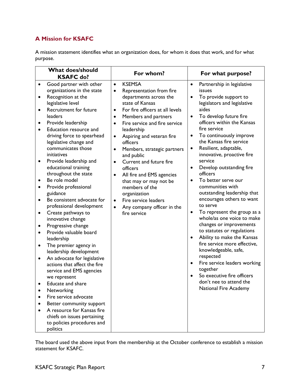# **A Mission for KSAFC**

A mission statement identifies what an organization does, for whom it does that work, and for what purpose.

| <b>What does/should</b><br><b>KSAFC do?</b>                                                                                                                                                                                                                                                                                                                                                                                                                                                                                                                                                                                                                                                                                                                                                                                                                                                                                                                                                                                                                                                | For whom?                                                                                                                                                                                                                                                                                                                                                                                                                                                                                                                                                                                                                                   | For what purpose?                                                                                                                                                                                                                                                                                                                                                                                                                                                                                                                                                                                                                                                                                                                                                                                                                                                                                                                                   |
|--------------------------------------------------------------------------------------------------------------------------------------------------------------------------------------------------------------------------------------------------------------------------------------------------------------------------------------------------------------------------------------------------------------------------------------------------------------------------------------------------------------------------------------------------------------------------------------------------------------------------------------------------------------------------------------------------------------------------------------------------------------------------------------------------------------------------------------------------------------------------------------------------------------------------------------------------------------------------------------------------------------------------------------------------------------------------------------------|---------------------------------------------------------------------------------------------------------------------------------------------------------------------------------------------------------------------------------------------------------------------------------------------------------------------------------------------------------------------------------------------------------------------------------------------------------------------------------------------------------------------------------------------------------------------------------------------------------------------------------------------|-----------------------------------------------------------------------------------------------------------------------------------------------------------------------------------------------------------------------------------------------------------------------------------------------------------------------------------------------------------------------------------------------------------------------------------------------------------------------------------------------------------------------------------------------------------------------------------------------------------------------------------------------------------------------------------------------------------------------------------------------------------------------------------------------------------------------------------------------------------------------------------------------------------------------------------------------------|
| Good partner with other<br>$\bullet$<br>organizations in the state<br>Recognition at the<br>$\bullet$<br>legislative level<br><b>Recruitment for future</b><br>leaders<br>Provide leadership<br>$\bullet$<br>Education resource and<br>driving force to spearhead<br>legislative change and<br>communicates those<br>initiatives<br>Provide leadership and<br>$\bullet$<br>educational training<br>throughout the state<br>Be role model<br>Provide professional<br>guidance<br>Be consistent advocate for<br>$\bullet$<br>professional development<br>Create pathways to<br>$\bullet$<br>innovative change<br>Progressive change<br>$\bullet$<br>Provide valuable board<br>$\bullet$<br>leadership<br>The premier agency in<br>$\bullet$<br>leadership development<br>An advocate for legislative<br>$\bullet$<br>actions that affect the fire<br>service and EMS agencies<br>we represent<br>Educate and share<br>Networking<br>Fire service advocate<br>Better community support<br>A resource for Kansas fire<br>chiefs on issues pertaining<br>to policies procedures and<br>politics | <b>KSEMSA</b><br>$\bullet$<br>Representation from fire<br>$\bullet$<br>departments across the<br>state of Kansas<br>For fire officers at all levels<br>$\bullet$<br>Members and partners<br>$\bullet$<br>Fire service and fire service<br>$\bullet$<br>leadership<br>Aspiring and veteran fire<br>$\bullet$<br>officers<br>Members, strategic partners<br>$\bullet$<br>and public<br>Current and future fire<br>$\bullet$<br>officers<br>All fire and EMS agencies<br>$\bullet$<br>that may or may not be<br>members of the<br>organization<br>Fire service leaders<br>$\bullet$<br>Any company officer in the<br>$\bullet$<br>fire service | Partnership in legislative<br>$\bullet$<br>issues<br>To provide support to<br>$\bullet$<br>legislators and legislative<br>aides<br>To develop future fire<br>$\bullet$<br>officers within the Kansas<br>fire service<br>To continuously improve<br>$\bullet$<br>the Kansas fire service<br>Resilient, adaptable,<br>$\bullet$<br>innovative, proactive fire<br>service<br>Develop outstanding fire<br>$\bullet$<br>officers<br>To better serve our<br>communities with<br>outstanding leadership that<br>encourages others to want<br>to serve<br>To represent the group as a<br>$\bullet$<br>whole/as one voice to make<br>changes or improvements<br>to statutes or regulations<br>Ability to make the Kansas<br>$\bullet$<br>fire service more effective,<br>knowledgeable, safe,<br>respected<br>Fire service leaders working<br>together<br>So executive fire officers<br>$\bullet$<br>don't nee to attend the<br><b>National Fire Academy</b> |

The board used the above input from the membership at the October conference to establish a mission statement for KSAFC.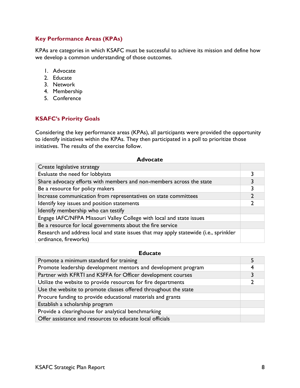# **Key Performance Areas (KPAs)**

KPAs are categories in which KSAFC must be successful to achieve its mission and define how we develop a common understanding of those outcomes.

- 1. Advocate
- 2. Educate
- 3. Network
- 4. Membership
- 5. Conference

## **KSAFC's Priority Goals**

Considering the key performance areas (KPAs), all participants were provided the opportunity to identify initiatives within the KPAs. They then participated in a poll to prioritize those initiatives. The results of the exercise follow.

#### **Advocate**

| Create legislative strategy                                                                                    |  |
|----------------------------------------------------------------------------------------------------------------|--|
| Evaluate the need for lobbyists                                                                                |  |
| Share advocacy efforts with members and non-members across the state                                           |  |
| Be a resource for policy makers                                                                                |  |
| Increase communication from representatives on state committees                                                |  |
| Identify key issues and position statements                                                                    |  |
| Identify membership who can testify                                                                            |  |
| Engage IAFC/NFPA Missouri Valley College with local and state issues                                           |  |
| Be a resource for local governments about the fire service                                                     |  |
| Research and address local and state issues that may apply statewide (i.e., sprinkler<br>ordinance, fireworks) |  |

#### **Educate**

| Promote a minimum standard for training                         |  |
|-----------------------------------------------------------------|--|
| Promote leadership development mentors and development program  |  |
| Partner with KFRTI and KSFFA for Officer development courses    |  |
| Utilize the website to provide resources for fire departments   |  |
| Use the website to promote classes offered throughout the state |  |
| Procure funding to provide educational materials and grants     |  |
| Establish a scholarship program                                 |  |
| Provide a clearinghouse for analytical benchmarking             |  |
| Offer assistance and resources to educate local officials       |  |